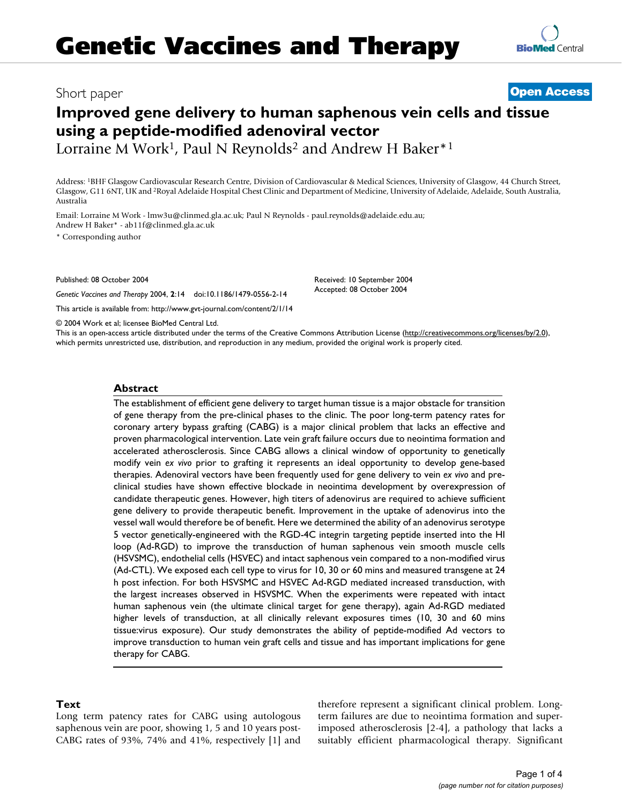# **Improved gene delivery to human saphenous vein cells and tissue using a peptide-modified adenoviral vector**

Lorraine M Work<sup>1</sup>, Paul N Reynolds<sup>2</sup> and Andrew H Baker<sup>\*1</sup>

Address: 1BHF Glasgow Cardiovascular Research Centre, Division of Cardiovascular & Medical Sciences, University of Glasgow, 44 Church Street, Glasgow, G11 6NT, UK and 2Royal Adelaide Hospital Chest Clinic and Department of Medicine, University of Adelaide, Adelaide, South Australia, Australia

Email: Lorraine M Work - lmw3u@clinmed.gla.ac.uk; Paul N Reynolds - paul.reynolds@adelaide.edu.au; Andrew H Baker\* - ab11f@clinmed.gla.ac.uk

\* Corresponding author

Published: 08 October 2004

*Genetic Vaccines and Therapy* 2004, **2**:14 doi:10.1186/1479-0556-2-14

[This article is available from: http://www.gvt-journal.com/content/2/1/14](http://www.gvt-journal.com/content/2/1/14)

Received: 10 September 2004 Accepted: 08 October 2004

© 2004 Work et al; licensee BioMed Central Ltd.

This is an open-access article distributed under the terms of the Creative Commons Attribution License (<http://creativecommons.org/licenses/by/2.0>), which permits unrestricted use, distribution, and reproduction in any medium, provided the original work is properly cited.

### **Abstract**

The establishment of efficient gene delivery to target human tissue is a major obstacle for transition of gene therapy from the pre-clinical phases to the clinic. The poor long-term patency rates for coronary artery bypass grafting (CABG) is a major clinical problem that lacks an effective and proven pharmacological intervention. Late vein graft failure occurs due to neointima formation and accelerated atherosclerosis. Since CABG allows a clinical window of opportunity to genetically modify vein *ex vivo* prior to grafting it represents an ideal opportunity to develop gene-based therapies. Adenoviral vectors have been frequently used for gene delivery to vein *ex vivo* and preclinical studies have shown effective blockade in neointima development by overexpression of candidate therapeutic genes. However, high titers of adenovirus are required to achieve sufficient gene delivery to provide therapeutic benefit. Improvement in the uptake of adenovirus into the vessel wall would therefore be of benefit. Here we determined the ability of an adenovirus serotype 5 vector genetically-engineered with the RGD-4C integrin targeting peptide inserted into the HI loop (Ad-RGD) to improve the transduction of human saphenous vein smooth muscle cells (HSVSMC), endothelial cells (HSVEC) and intact saphenous vein compared to a non-modified virus (Ad-CTL). We exposed each cell type to virus for 10, 30 or 60 mins and measured transgene at 24 h post infection. For both HSVSMC and HSVEC Ad-RGD mediated increased transduction, with the largest increases observed in HSVSMC. When the experiments were repeated with intact human saphenous vein (the ultimate clinical target for gene therapy), again Ad-RGD mediated higher levels of transduction, at all clinically relevant exposures times (10, 30 and 60 mins tissue:virus exposure). Our study demonstrates the ability of peptide-modified Ad vectors to improve transduction to human vein graft cells and tissue and has important implications for gene therapy for CABG.

### **Text**

Long term patency rates for CABG using autologous saphenous vein are poor, showing 1, 5 and 10 years post-CABG rates of 93%, 74% and 41%, respectively [1] and therefore represent a significant clinical problem. Longterm failures are due to neointima formation and superimposed atherosclerosis [2-4], a pathology that lacks a suitably efficient pharmacological therapy. Significant

## Short paper **[Open Access](http://www.biomedcentral.com/info/about/charter/)**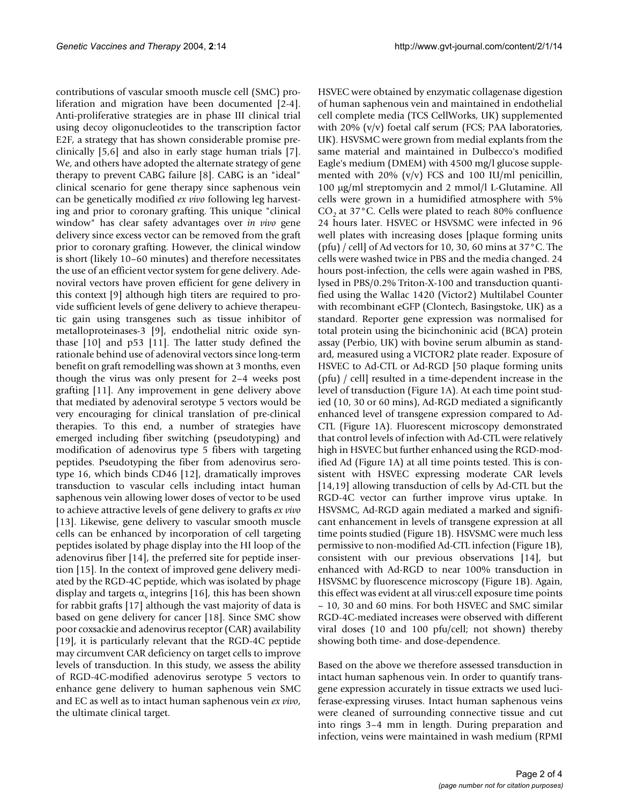contributions of vascular smooth muscle cell (SMC) proliferation and migration have been documented [2-4]. Anti-proliferative strategies are in phase III clinical trial using decoy oligonucleotides to the transcription factor E2F, a strategy that has shown considerable promise preclinically [5,6] and also in early stage human trials [7]. We, and others have adopted the alternate strategy of gene therapy to prevent CABG failure [8]. CABG is an "ideal" clinical scenario for gene therapy since saphenous vein can be genetically modified *ex vivo* following leg harvesting and prior to coronary grafting. This unique "clinical window" has clear safety advantages over *in vivo* gene delivery since excess vector can be removed from the graft prior to coronary grafting. However, the clinical window is short (likely 10–60 minutes) and therefore necessitates the use of an efficient vector system for gene delivery. Adenoviral vectors have proven efficient for gene delivery in this context [9] although high titers are required to provide sufficient levels of gene delivery to achieve therapeutic gain using transgenes such as tissue inhibitor of metalloproteinases-3 [9], endothelial nitric oxide synthase [10] and p53 [11]. The latter study defined the rationale behind use of adenoviral vectors since long-term benefit on graft remodelling was shown at 3 months, even though the virus was only present for 2–4 weeks post grafting [11]. Any improvement in gene delivery above that mediated by adenoviral serotype 5 vectors would be very encouraging for clinical translation of pre-clinical therapies. To this end, a number of strategies have emerged including fiber switching (pseudotyping) and modification of adenovirus type 5 fibers with targeting peptides. Pseudotyping the fiber from adenovirus serotype 16, which binds CD46 [12], dramatically improves transduction to vascular cells including intact human saphenous vein allowing lower doses of vector to be used to achieve attractive levels of gene delivery to grafts *ex vivo* [13]. Likewise, gene delivery to vascular smooth muscle cells can be enhanced by incorporation of cell targeting peptides isolated by phage display into the HI loop of the adenovirus fiber [14], the preferred site for peptide insertion [15]. In the context of improved gene delivery mediated by the RGD-4C peptide, which was isolated by phage display and targets  $\alpha_{\rm v}$  integrins [16], this has been shown for rabbit grafts [17] although the vast majority of data is based on gene delivery for cancer [18]. Since SMC show poor coxsackie and adenovirus receptor (CAR) availability [19], it is particularly relevant that the RGD-4C peptide may circumvent CAR deficiency on target cells to improve levels of transduction. In this study, we assess the ability of RGD-4C-modified adenovirus serotype 5 vectors to enhance gene delivery to human saphenous vein SMC and EC as well as to intact human saphenous vein *ex vivo*, the ultimate clinical target.

HSVEC were obtained by enzymatic collagenase digestion of human saphenous vein and maintained in endothelial cell complete media (TCS CellWorks, UK) supplemented with 20%  $(v/v)$  foetal calf serum (FCS; PAA laboratories, UK). HSVSMC were grown from medial explants from the same material and maintained in Dulbecco's modified Eagle's medium (DMEM) with 4500 mg/l glucose supplemented with 20% (v/v) FCS and 100 IU/ml penicillin, 100 µg/ml streptomycin and 2 mmol/l L-Glutamine. All cells were grown in a humidified atmosphere with 5%  $CO<sub>2</sub>$  at 37°C. Cells were plated to reach 80% confluence 24 hours later. HSVEC or HSVSMC were infected in 96 well plates with increasing doses [plaque forming units (pfu) / cell] of Ad vectors for 10, 30, 60 mins at 37°C. The cells were washed twice in PBS and the media changed. 24 hours post-infection, the cells were again washed in PBS, lysed in PBS/0.2% Triton-X-100 and transduction quantified using the Wallac 1420 (Victor2) Multilabel Counter with recombinant eGFP (Clontech, Basingstoke, UK) as a standard. Reporter gene expression was normalised for total protein using the bicinchoninic acid (BCA) protein assay (Perbio, UK) with bovine serum albumin as standard, measured using a VICTOR2 plate reader. Exposure of HSVEC to Ad-CTL or Ad-RGD [50 plaque forming units (pfu) / cell] resulted in a time-dependent increase in the level of transduction (Figure [1A](#page-2-0)). At each time point studied (10, 30 or 60 mins), Ad-RGD mediated a significantly enhanced level of transgene expression compared to Ad-CTL (Figure [1A](#page-2-0)). Fluorescent microscopy demonstrated that control levels of infection with Ad-CTL were relatively high in HSVEC but further enhanced using the RGD-modified Ad (Figure [1](#page-2-0)A) at all time points tested. This is consistent with HSVEC expressing moderate CAR levels [14,19] allowing transduction of cells by Ad-CTL but the RGD-4C vector can further improve virus uptake. In HSVSMC, Ad-RGD again mediated a marked and significant enhancement in levels of transgene expression at all time points studied (Figure [1B](#page-2-0)). HSVSMC were much less permissive to non-modified Ad-CTL infection (Figure [1B](#page-2-0)), consistent with our previous observations [14], but enhanced with Ad-RGD to near 100% transduction in HSVSMC by fluorescence microscopy (Figure [1](#page-2-0)B). Again, this effect was evident at all virus:cell exposure time points – 10, 30 and 60 mins. For both HSVEC and SMC similar RGD-4C-mediated increases were observed with different viral doses (10 and 100 pfu/cell; not shown) thereby showing both time- and dose-dependence.

Based on the above we therefore assessed transduction in intact human saphenous vein. In order to quantify transgene expression accurately in tissue extracts we used luciferase-expressing viruses. Intact human saphenous veins were cleaned of surrounding connective tissue and cut into rings 3–4 mm in length. During preparation and infection, veins were maintained in wash medium (RPMI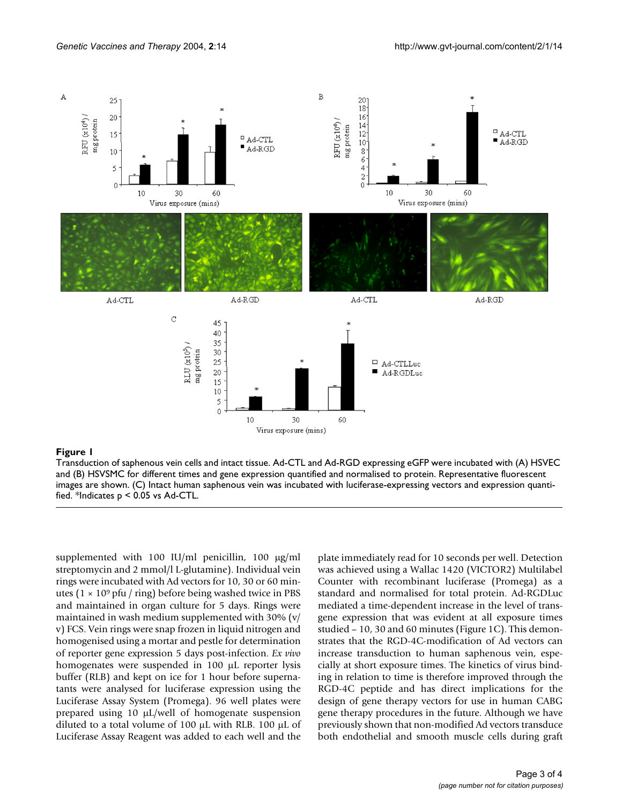<span id="page-2-0"></span>

### Figure 1

Transduction of saphenous vein cells and intact tissue. Ad-CTL and Ad-RGD expressing eGFP were incubated with (A) HSVEC and (B) HSVSMC for different times and gene expression quantified and normalised to protein. Representative fluorescent images are shown. (C) Intact human saphenous vein was incubated with luciferase-expressing vectors and expression quantified. \*Indicates p < 0.05 vs Ad-CTL.

supplemented with 100 IU/ml penicillin, 100  $\mu$ g/ml streptomycin and 2 mmol/l L-glutamine). Individual vein rings were incubated with Ad vectors for 10, 30 or 60 minutes ( $1 \times 10^9$  pfu / ring) before being washed twice in PBS and maintained in organ culture for 5 days. Rings were maintained in wash medium supplemented with 30% (v/ v) FCS. Vein rings were snap frozen in liquid nitrogen and homogenised using a mortar and pestle for determination of reporter gene expression 5 days post-infection. *Ex vivo* homogenates were suspended in 100 µL reporter lysis buffer (RLB) and kept on ice for 1 hour before supernatants were analysed for luciferase expression using the Luciferase Assay System (Promega). 96 well plates were prepared using 10 µL/well of homogenate suspension diluted to a total volume of 100  $\mu$ L with RLB. 100  $\mu$ L of Luciferase Assay Reagent was added to each well and the plate immediately read for 10 seconds per well. Detection was achieved using a Wallac 1420 (VICTOR2) Multilabel Counter with recombinant luciferase (Promega) as a standard and normalised for total protein. Ad-RGDLuc mediated a time-dependent increase in the level of transgene expression that was evident at all exposure times studied – 10, 30 and 60 minutes (Figure [1](#page-2-0)C). This demonstrates that the RGD-4C-modification of Ad vectors can increase transduction to human saphenous vein, especially at short exposure times. The kinetics of virus binding in relation to time is therefore improved through the RGD-4C peptide and has direct implications for the design of gene therapy vectors for use in human CABG gene therapy procedures in the future. Although we have previously shown that non-modified Ad vectors transduce both endothelial and smooth muscle cells during graft